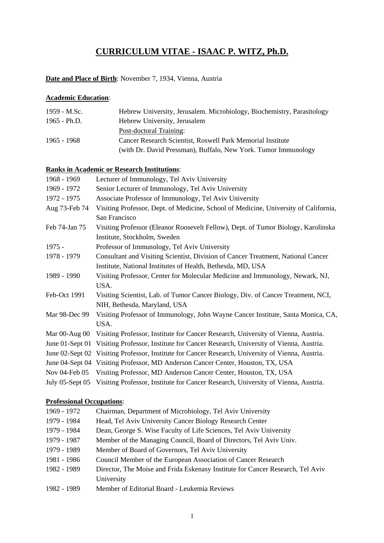## **CURRICULUM VITAE - ISAAC P. WITZ, Ph.D.**

#### **Date and Place of Birth**: November 7, 1934, Vienna, Austria

#### **Academic Education**:

| 1959 - M.Sc.   | Hebrew University, Jerusalem. Microbiology, Biochemistry, Parasitology |
|----------------|------------------------------------------------------------------------|
| $1965 - Ph.D.$ | Hebrew University, Jerusalem                                           |
|                | Post-doctoral Training:                                                |
| 1965 - 1968    | Cancer Research Scientist, Roswell Park Memorial Institute             |
|                | (with Dr. David Pressman), Buffalo, New York. Tumor Immunology         |

#### **Ranks in Academic or Research Institutions**:

| 1968 - 1969          | Lecturer of Immunology, Tel Aviv University                                                       |
|----------------------|---------------------------------------------------------------------------------------------------|
| 1969 - 1972          | Senior Lecturer of Immunology, Tel Aviv University                                                |
| 1972 - 1975          | Associate Professor of Immunology, Tel Aviv University                                            |
| Aug 73-Feb 74        | Visiting Professor, Dept. of Medicine, School of Medicine, University of California,              |
|                      | San Francisco                                                                                     |
| Feb 74-Jan 75        | Visiting Professor (Eleanor Roosevelt Fellow), Dept. of Tumor Biology, Karolinska                 |
|                      | Institute, Stockholm, Sweden                                                                      |
| $1975 -$             | Professor of Immunology, Tel Aviv University                                                      |
| 1978 - 1979          | Consultant and Visiting Scientist, Division of Cancer Treatment, National Cancer                  |
|                      | Institute, National Institutes of Health, Bethesda, MD, USA                                       |
| 1989 - 1990          | Visiting Professor, Center for Molecular Medicine and Immunology, Newark, NJ,                     |
|                      | USA.                                                                                              |
| Feb-Oct 1991         | Visiting Scientist, Lab. of Tumor Cancer Biology, Div. of Cancer Treatment, NCI,                  |
|                      | NIH, Bethesda, Maryland, USA                                                                      |
| Mar 98-Dec 99        | Visiting Professor of Immunology, John Wayne Cancer Institute, Santa Monica, CA,                  |
|                      | USA.                                                                                              |
| Mar $00$ -Aug $00$   | Visiting Professor, Institute for Cancer Research, University of Vienna, Austria.                 |
| June $01$ -Sept $01$ | Visiting Professor, Institute for Cancer Research, University of Vienna, Austria.                 |
| June $02$ -Sept $02$ | Visiting Professor, Institute for Cancer Research, University of Vienna, Austria.                 |
|                      | June 04-Sept 04 Visiting Professor, MD Anderson Cancer Center, Houston, TX, USA                   |
| Nov 04-Feb 05        | Visiting Professor, MD Anderson Cancer Center, Houston, TX, USA                                   |
|                      | July 05-Sept 05 Visiting Professor, Institute for Cancer Research, University of Vienna, Austria. |
|                      |                                                                                                   |

#### **Professional Occupations**:

| 1969 - 1972 | Chairman, Department of Microbiology, Tel Aviv University                      |
|-------------|--------------------------------------------------------------------------------|
| 1979 - 1984 | Head, Tel Aviv University Cancer Biology Research Center                       |
| 1979 - 1984 | Dean, George S. Wise Faculty of Life Sciences, Tel Aviv University             |
| 1979 - 1987 | Member of the Managing Council, Board of Directors, Tel Aviv Univ.             |
| 1979 - 1989 | Member of Board of Governors, Tel Aviv University                              |
| 1981 - 1986 | Council Member of the European Association of Cancer Research                  |
| 1982 - 1989 | Director, The Moise and Frida Eskenasy Institute for Cancer Research, Tel Aviv |
|             | University                                                                     |
| 1982 - 1989 | Member of Editorial Board - Leukemia Reviews                                   |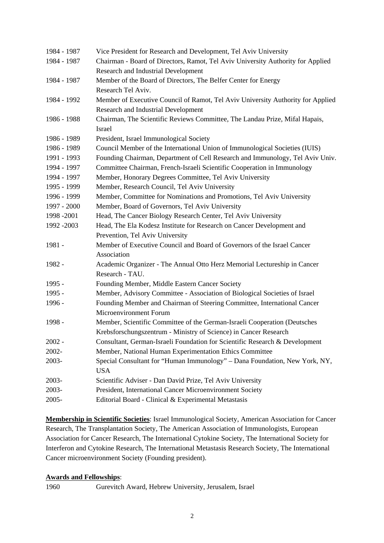| 1984 - 1987 | Vice President for Research and Development, Tel Aviv University                |
|-------------|---------------------------------------------------------------------------------|
| 1984 - 1987 | Chairman - Board of Directors, Ramot, Tel Aviv University Authority for Applied |
|             | <b>Research and Industrial Development</b>                                      |
| 1984 - 1987 | Member of the Board of Directors, The Belfer Center for Energy                  |
|             | Research Tel Aviv.                                                              |
| 1984 - 1992 | Member of Executive Council of Ramot, Tel Aviv University Authority for Applied |
|             | Research and Industrial Development                                             |
| 1986 - 1988 | Chairman, The Scientific Reviews Committee, The Landau Prize, Mifal Hapais,     |
|             | <b>Israel</b>                                                                   |
| 1986 - 1989 | President, Israel Immunological Society                                         |
| 1986 - 1989 | Council Member of the International Union of Immunological Societies (IUIS)     |
| 1991 - 1993 | Founding Chairman, Department of Cell Research and Immunology, Tel Aviv Univ.   |
| 1994 - 1997 | Committee Chairman, French-Israeli Scientific Cooperation in Immunology         |
| 1994 - 1997 | Member, Honorary Degrees Committee, Tel Aviv University                         |
| 1995 - 1999 | Member, Research Council, Tel Aviv University                                   |
| 1996 - 1999 | Member, Committee for Nominations and Promotions, Tel Aviv University           |
| 1997 - 2000 | Member, Board of Governors, Tel Aviv University                                 |
| 1998 - 2001 | Head, The Cancer Biology Research Center, Tel Aviv University                   |
| 1992 - 2003 | Head, The Ela Kodesz Institute for Research on Cancer Development and           |
|             | Prevention, Tel Aviv University                                                 |
| 1981 -      | Member of Executive Council and Board of Governors of the Israel Cancer         |
|             | Association                                                                     |
| 1982 -      | Academic Organizer - The Annual Otto Herz Memorial Lectureship in Cancer        |
|             | Research - TAU.                                                                 |
| 1995 -      | Founding Member, Middle Eastern Cancer Society                                  |
| 1995 -      | Member, Advisory Committee - Association of Biological Societies of Israel      |
| 1996 -      | Founding Member and Chairman of Steering Committee, International Cancer        |
|             | Microenvironment Forum                                                          |
| 1998 -      | Member, Scientific Committee of the German-Israeli Cooperation (Deutsches       |
|             | Krebsforschungszentrum - Ministry of Science) in Cancer Research                |
| $2002 -$    | Consultant, German-Israeli Foundation for Scientific Research & Development     |
| 2002-       | Member, National Human Experimentation Ethics Committee                         |
| 2003-       | Special Consultant for "Human Immunology" - Dana Foundation, New York, NY,      |
|             | <b>USA</b>                                                                      |
| 2003-       | Scientific Adviser - Dan David Prize, Tel Aviv University                       |
| 2003-       | President, International Cancer Microenvironment Society                        |
| 2005-       | Editorial Board - Clinical & Experimental Metastasis                            |

**Membership in Scientific Societies**: Israel Immunological Society, American Association for Cancer Research, The Transplantation Society, The American Association of Immunologists, European Association for Cancer Research, The International Cytokine Society, The International Society for Interferon and Cytokine Research, The International Metastasis Research Society, The International Cancer microenvironment Society (Founding president).

#### **Awards and Fellowships**:

1960 Gurevitch Award, Hebrew University, Jerusalem, Israel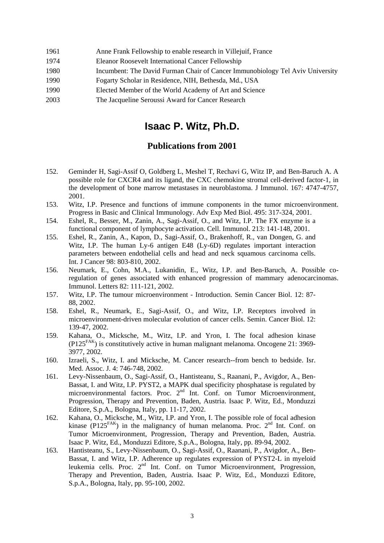| 1961<br>Anne Frank Fellowship to enable research in Villejuif, France |  |
|-----------------------------------------------------------------------|--|
|-----------------------------------------------------------------------|--|

- 1974 Eleanor Roosevelt International Cancer Fellowship
- 1980 Incumbent: The David Furman Chair of Cancer Immunobiology Tel Aviv University
- 1990 Fogarty Scholar in Residence, NIH, Bethesda, Md., USA
- 1990 Elected Member of the World Academy of Art and Science
- 2003 The Jacqueline Seroussi Award for Cancer Research

# **Isaac P. Witz, Ph.D.**

### **Publications from 2001**

- 152. Geminder H, Sagi-Assif O, Goldberg L, Meshel T, Rechavi G, Witz IP, and Ben-Baruch A. A possible role for CXCR4 and its ligand, the CXC chemokine stromal cell-derived factor-1, in the development of bone marrow metastases in neuroblastoma. J Immunol. 167: 4747-4757, 2001.
- 153. Witz, I.P. Presence and functions of immune components in the tumor microenvironment. Progress in Basic and Clinical Immunology. Adv Exp Med Biol. 495: 317-324, 2001.
- 154. Eshel, R., Besser, M., Zanin, A., Sagi-Assif, O., and Witz, I.P. The FX enzyme is a functional component of lymphocyte activation. Cell. Immunol. 213: 141-148, 2001.
- 155. Eshel, R., Zanin, A., Kapon, D., Sagi-Assif, O., Brakenhoff, R., van Dongen, G. and Witz, I.P. The human Ly-6 antigen E48 (Ly-6D) regulates important interaction parameters between endothelial cells and head and neck squamous carcinoma cells. Int. J Cancer 98: 803-810, 2002.
- 156. Neumark, E., Cohn, M.A., Lukanidin, E., Witz, I.P. and Ben-Baruch, A. Possible coregulation of genes associated with enhanced progression of mammary adenocarcinomas. Immunol. Letters 82: 111-121, 2002.
- 157. Witz, I.P. The tumour microenvironment Introduction. Semin Cancer Biol. 12: 87- 88, 2002.
- 158. Eshel, R., Neumark, E., Sagi-Assif, O., and Witz, I.P. Receptors involved in microenvironment-driven molecular evolution of cancer cells. Semin. Cancer Biol. 12: 139-47, 2002.
- 159. Kahana, O., Micksche, M., Witz, I.P. and Yron, I. The focal adhesion kinase  $(P125<sup>FAK</sup>)$  is constitutively active in human malignant melanoma. Oncogene 21: 3969-3977, 2002.
- 160. Izraeli, S., Witz, I. and Micksche, M. Cancer research--from bench to bedside. Isr. Med. Assoc. J. 4: 746-748, 2002.
- 161. Levy-Nissenbaum, O., Sagi-Assif, O., Hantisteanu, S., Raanani, P., Avigdor, A., Ben-Bassat, I. and Witz, I.P. PYST2, a MAPK dual specificity phosphatase is regulated by microenvironmental factors. Proc. 2<sup>nd</sup> Int. Conf. on Tumor Microenvironment, Progression, Therapy and Prevention, Baden, Austria. Isaac P. Witz, Ed., Monduzzi Editore, S.p.A., Bologna, Italy, pp. 11-17, 2002.
- 162. Kahana, O., Micksche, M., Witz, I.P. and Yron, I. The possible role of focal adhesion kinase (P125<sup>FAK</sup>) in the malignancy of human melanoma. Proc.  $2<sup>nd</sup>$  Int. Conf. on Tumor Microenvironment, Progression, Therapy and Prevention, Baden, Austria. Isaac P. Witz, Ed., Monduzzi Editore, S.p.A., Bologna, Italy, pp. 89-94, 2002.
- 163. Hantisteanu, S., Levy-Nissenbaum, O., Sagi-Assif, O., Raanani, P., Avigdor, A., Ben-Bassat, I. and Witz, I.P. Adherence up regulates expression of PYST2-L in myeloid leukemia cells. Proc. 2<sup>nd</sup> Int. Conf. on Tumor Microenvironment, Progression, Therapy and Prevention, Baden, Austria. Isaac P. Witz, Ed., Monduzzi Editore, S.p.A., Bologna, Italy, pp. 95-100, 2002.